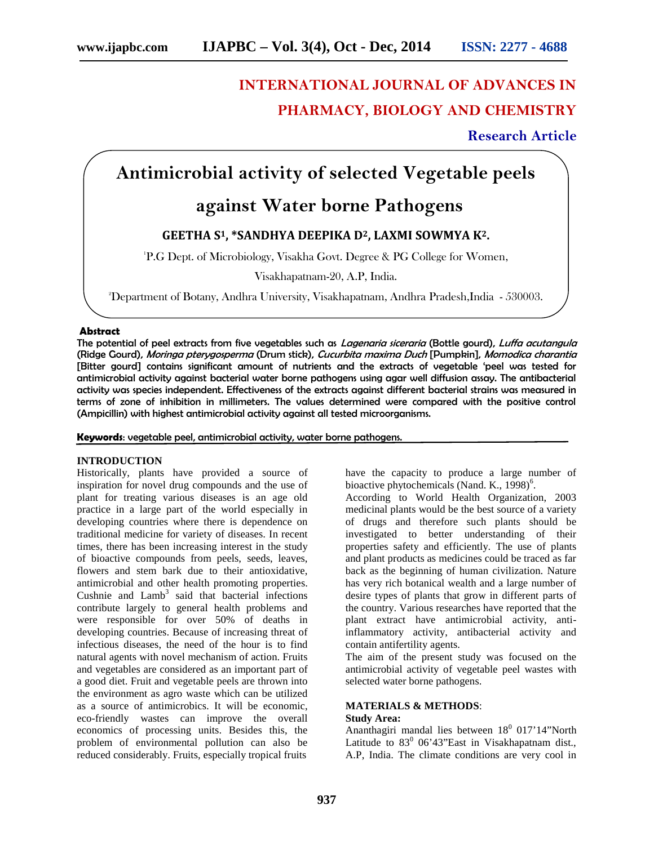# **INTERNATIONAL JOURNAL OF ADVANCES IN PHARMACY, BIOLOGY AND CHEMISTRY**

**Research Article**

## **Antimicrobial activity of selected Vegetable peels**

### **against Water borne Pathogens**

#### **GEETHA S1, \*SANDHYA DEEPIKA D2, LAXMI SOWMYA K2.**

<sup>1</sup>P.G Dept. of Microbiology, Visakha Govt. Degree & PG College for Women,

Visakhapatnam-20, A.P, India.

<sup>2</sup>Department of Botany, Andhra University, Visakhapatnam, Andhra Pradesh,India - 530003.

#### **Abstract**

The potential of peel extracts from five vegetables such as *Lagenaria siceraria* (Bottle gourd), *Luffa acutangula* (Ridge Gourd), *Moringa pterygosperma* (Drum stick), *Cucurbita maxima Duch* [Pumpkin], *Momodica charantia* [Bitter gourd] contains significant amount of nutrients and the extracts of vegetable 'peel was tested for antimicrobial activity against bacterial water borne pathogens using agar well diffusion assay. The antibacterial activity was species independent. Effectiveness of the extracts against different bacterial strains was measured in terms of zone of inhibition in millimeters. The values determined were compared with the positive control (Ampicillin) with highest antimicrobial activity against all tested microorganisms.

**Keywords**: vegetable peel, antimicrobial activity, water borne pathogens.

#### **INTRODUCTION**

Historically, plants have provided a source of inspiration for novel drug compounds and the use of plant for treating various diseases is an age old practice in a large part of the world especially in developing countries where there is dependence on traditional medicine for variety of diseases. In recent times, there has been increasing interest in the study of bioactive compounds from peels, seeds, leaves, flowers and stem bark due to their antioxidative, antimicrobial and other health promoting properties. Cushnie and  $Lamb<sup>3</sup>$  said that bacterial infections contribute largely to general health problems and were responsible for over 50% of deaths in developing countries. Because of increasing threat of infectious diseases, the need of the hour is to find natural agents with novel mechanism of action. Fruits and vegetables are considered as an important part of a good diet. Fruit and vegetable peels are thrown into the environment as agro waste which can be utilized as a source of antimicrobics. It will be economic, eco-friendly wastes can improve the overall economics of processing units. Besides this, the problem of environmental pollution can also be reduced considerably. Fruits, especially tropical fruits

have the capacity to produce a large number of bioactive phytochemicals (Nand. K.,  $1998$ )<sup>6</sup>.

According to World Health Organization, 2003 medicinal plants would be the best source of a variety of drugs and therefore such plants should be investigated to better understanding of their properties safety and efficiently. The use of plants and plant products as medicines could be traced as far back as the beginning of human civilization. Nature has very rich botanical wealth and a large number of desire types of plants that grow in different parts of the country. Various researches have reported that the plant extract have antimicrobial activity, antiinflammatory activity, antibacterial activity and contain antifertility agents.

The aim of the present study was focused on the antimicrobial activity of vegetable peel wastes with selected water borne pathogens.

#### **MATERIALS & METHODS**:

#### **Study Area:**

Ananthagiri mandal lies between  $18^0$  017'14"North Latitude to  $83^0$  06'43"East in Visakhapatnam dist., A.P, India. The climate conditions are very cool in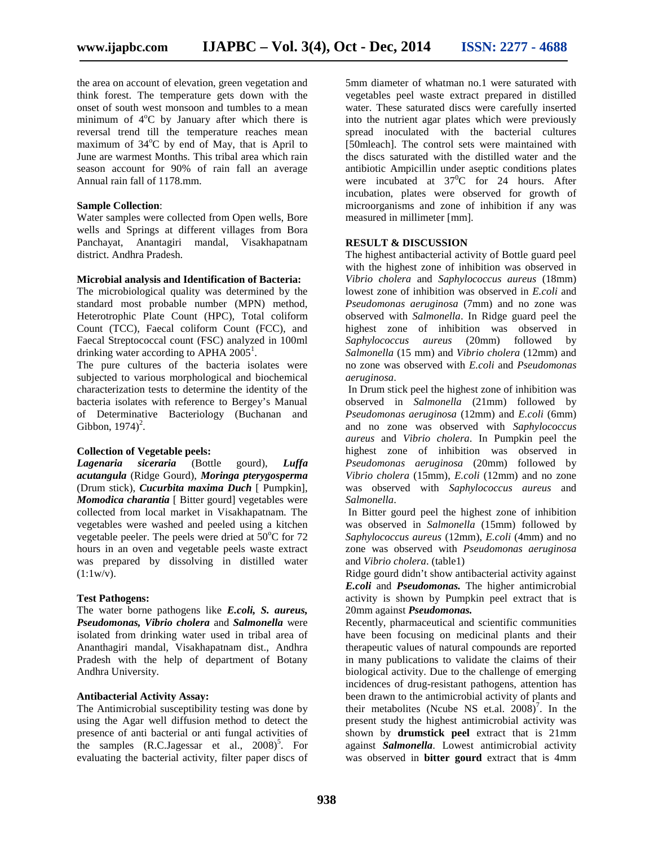the area on account of elevation, green vegetation and think forest. The temperature gets down with the onset of south west monsoon and tumbles to a mean minimum of  $4^{\circ}$ C by January after which there is reversal trend till the temperature reaches mean maximum of  $34^{\circ}$ C by end of May, that is April to June are warmest Months. This tribal area which rain season account for 90% of rain fall an average Annual rain fall of 1178.mm.

#### **Sample Collection**:

Water samples were collected from Open wells, Bore wells and Springs at different villages from Bora Panchayat, Anantagiri mandal, Visakhapatnam district. Andhra Pradesh.

#### **Microbial analysis and Identification of Bacteria:**

The microbiological quality was determined by the standard most probable number (MPN) method, Heterotrophic Plate Count (HPC), Total coliform Count (TCC), Faecal coliform Count (FCC), and Faecal Streptococcal count (FSC) analyzed in 100ml drinking water according to APHA  $2005^1$ .

The pure cultures of the bacteria isolates were subjected to various morphological and biochemical characterization tests to determine the identity of the bacteria isolates with reference to Bergey's Manual of Determinative Bacteriology (Buchanan and Gibbon,  $1974$ <sup>2</sup>.

### **Collection of Vegetable peels:**<br>*Lagenaria siceraria* (Bottle

*Lagenaria siceraria* (Bottle gourd), *Luffa acutangula* (Ridge Gourd), *Moringa pterygosperma* (Drum stick), *Cucurbita maxima Duch* [ Pumpkin], *Momodica charantia* [ Bitter gourd] vegetables were collected from local market in Visakhapatnam. The vegetables were washed and peeled using a kitchen vegetable peeler. The peels were dried at  $50^{\circ}$ C for 72 hours in an oven and vegetable peels waste extract was prepared by dissolving in distilled water  $(1:1w/v)$ .

#### **Test Pathogens:**

The water borne pathogens like *E.coli, S. aureus, Pseudomonas, Vibrio cholera* and *Salmonella* were isolated from drinking water used in tribal area of Ananthagiri mandal, Visakhapatnam dist., Andhra Pradesh with the help of department of Botany Andhra University.

#### **Antibacterial Activity Assay:**

The Antimicrobial susceptibility testing was done by using the Agar well diffusion method to detect the presence of anti bacterial or anti fungal activities of the samples  $(R.C.Jagessar et al., 2008)^5$ . For evaluating the bacterial activity, filter paper discs of

5mm diameter of whatman no.1 were saturated with vegetables peel waste extract prepared in distilled water. These saturated discs were carefully inserted into the nutrient agar plates which were previously spread inoculated with the bacterial cultures [50mleach]. The control sets were maintained with the discs saturated with the distilled water and the antibiotic Ampicillin under aseptic conditions plates were incubated at  $37^0C$  for 24 hours. After incubation, plates were observed for growth of microorganisms and zone of inhibition if any was measured in millimeter [mm].

#### **RESULT & DISCUSSION**

The highest antibacterial activity of Bottle guard peel with the highest zone of inhibition was observed in *Vibrio cholera* and *Saphylococcus aureus* (18mm) lowest zone of inhibition was observed in *E.coli* and *Pseudomonas aeruginosa* (7mm) and no zone was observed with *Salmonella*. In Ridge guard peel the highest zone of inhibition was observed in *Saphylococcus aureus* (20mm) followed by *Salmonella* (15 mm) and *Vibrio cholera* (12mm) and no zone was observed with *E.coli* and *Pseudomonas aeruginosa*.

In Drum stick peel the highest zone of inhibition was observed in *Salmonella* (21mm) followed by *Pseudomonas aeruginosa* (12mm) and *E.coli* (6mm) and no zone was observed with *Saphylococcus aureus* and *Vibrio cholera*. In Pumpkin peel the highest zone of inhibition was observed in *Pseudomonas aeruginosa* (20mm) followed by *Vibrio cholera* (15mm), *E.coli* (12mm) and no zone was observed with *Saphylococcus aureus* and *Salmonella*.

In Bitter gourd peel the highest zone of inhibition was observed in *Salmonella* (15mm) followed by *Saphylococcus aureus* (12mm), *E.coli* (4mm) and no zone was observed with *Pseudomonas aeruginosa* and *Vibrio cholera*. (table1)

Ridge gourd didn't show antibacterial activity against *E.coli* and *Pseudomonas.* The higher antimicrobial activity is shown by Pumpkin peel extract that is 20mm against *Pseudomonas.*

Recently, pharmaceutical and scientific communities have been focusing on medicinal plants and their therapeutic values of natural compounds are reported in many publications to validate the claims of their biological activity. Due to the challenge of emerging incidences of drug-resistant pathogens, attention has been drawn to the antimicrobial activity of plants and their metabolites (Ncube NS et.al.  $2008$ )<sup>7</sup>. In the present study the highest antimicrobial activity was shown by **drumstick peel** extract that is 21mm against *Salmonella*. Lowest antimicrobial activity was observed in **bitter gourd** extract that is 4mm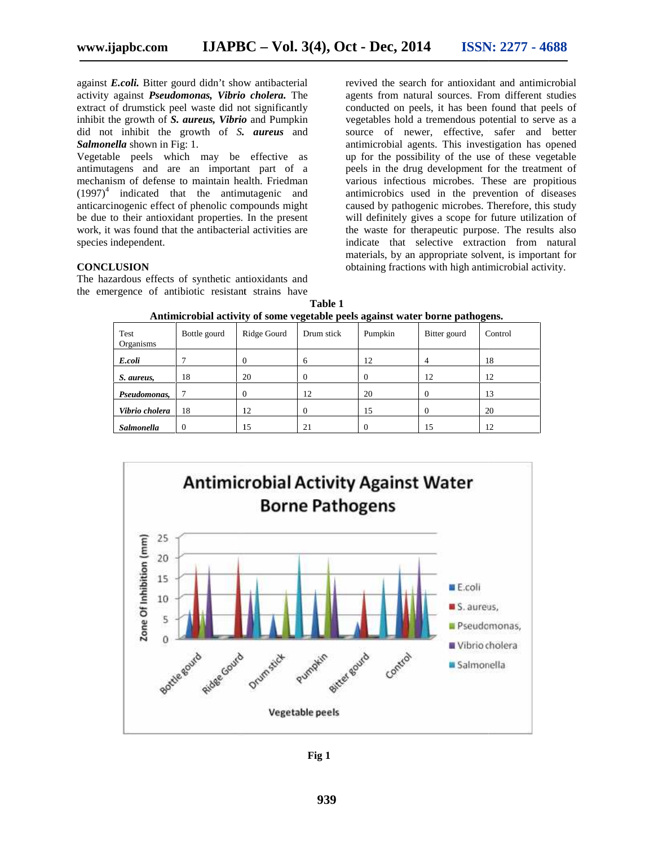against *E.coli.* Bitter gourd didn't show antibacterial activity against *Pseudomonas, Vibrio cholera*. The extract of drumstick peel waste did not significantly extract of drumstick peel waste did not significantly<br>
inhibit the growth of *S. aureus, Vibrio* and Pumpkin did not inhibit the growth of *S. aureus* and *Salmonella* shown in Fig: 1.

Vegetable peels which may be effective as antimutagens and are an important part of a mechanism of defense to maintain health. Friedman  $(1997)^4$  indicated that the antimutagenic and anticarcinogenic effect of phenolic compounds might be due to their antioxidant properties. In the present work, it was found that the antibacterial activities are species independent. Vegetable peels which may be antimutagens and are an important mechanism of defense to maintain heal  $(1997)^4$  indicated that the antimut anticarcinogenic effect of phenolic comp

revived the search for antioxidant and antimicrobial agents from natural sources. From different studies conducted on peels, it has been found that peels of vegetables hold a tremendous potential to serve as a source of newer, effective, safer and better antimicrobial agents. This investigation has opened up for the possibility of the use of these vegetable peels in the drug development for the treatment of various infectious microbes. These are propitious antimicrobics used in the prevention of diseases caused by pathogenic microbes. Therefore, this study will definitely gives a scope for future utilization of the waste for therapeutic purpose. The results also indicate that selective extraction from natural materials, by an appropriate solvent, is important for obtaining fractions with high antimicrobial activity. of didn't show antibacterial<br>
mondas, Vibrio cholera. The<br>
agents from natural sources. From different studies<br>
el wate did not significantly<br>
conducted on peels, it has been found that peels of<br>
at the sources of newer, e

#### **CONCLUSION**

The hazardous effects of synthetic antioxidants and the emergence of antibiotic resistant strains have

| Test<br>Organisms | Bottle gourd | Ridge Gourd    | -<br>Drum stick | $\circ$<br>Pumpkin | Bitter gourd   | -<br>Control |
|-------------------|--------------|----------------|-----------------|--------------------|----------------|--------------|
| E.coli            |              | 0              | 6               | 12                 | $\overline{4}$ | 18           |
| S. aureus,        | 18           | 20             | $\overline{0}$  | $\Omega$           | 12             | 12           |
| Pseudomonas,      |              | $\overline{0}$ | 12              | 20                 | $\theta$       | 13           |
| Vibrio cholera    | 18           | 12             | $\Omega$        | 15                 | $\Omega$       | 20           |
| Salmonella        | $\theta$     | 15             | 21              | $\Omega$           | 15             | 12           |

| Table 1                                                                       |  |  |  |  |  |  |
|-------------------------------------------------------------------------------|--|--|--|--|--|--|
| Antimicrobial activity of some vegetable peels against water borne pathogens. |  |  |  |  |  |  |



**Fig 1**